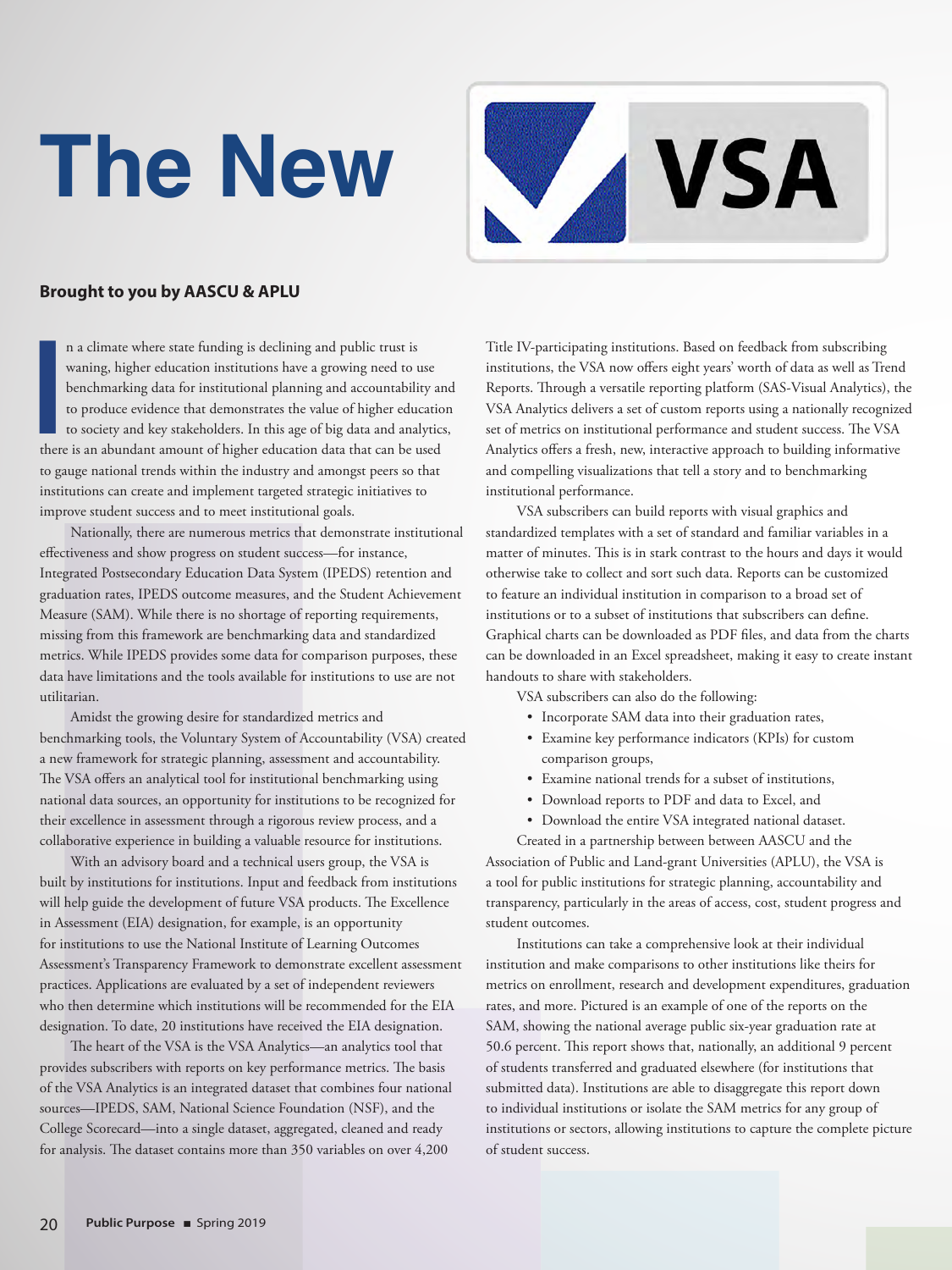## **The New**



## **Brought to you by AASCU & APLU**

Interest n a climate where state funding is declining and public trust is waning, higher education institutions have a growing need to use benchmarking data for institutional planning and accountability and to produce evidence that demonstrates the value of higher education to society and key stakeholders. In this age of big data and analytics, there is an abundant amount of higher education data that can be used to gauge national trends within the industry and amongst peers so that institutions can create and implement targeted strategic initiatives to improve student success and to meet institutional goals.

Nationally, there are numerous metrics that demonstrate institutional effectiveness and show progress on student success—for instance, Integrated Postsecondary Education Data System (IPEDS) retention and graduation rates, IPEDS outcome measures, and the Student Achievement Measure (SAM). While there is no shortage of reporting requirements, missing from this framework are benchmarking data and standardized metrics. While IPEDS provides some data for comparison purposes, these data have limitations and the tools available for institutions to use are not utilitarian.

Amidst the growing desire for standardized metrics and benchmarking tools, the Voluntary System of Accountability (VSA) created a new framework for strategic planning, assessment and accountability. The VSA offers an analytical tool for institutional benchmarking using national data sources, an opportunity for institutions to be recognized for their excellence in assessment through a rigorous review process, and a collaborative experience in building a valuable resource for institutions.

With an advisory board and a technical users group, the VSA is built by institutions for institutions. Input and feedback from institutions will help guide the development of future VSA products. The Excellence in Assessment (EIA) designation, for example, is an opportunity for institutions to use the National Institute of Learning Outcomes Assessment's Transparency Framework to demonstrate excellent assessment practices. Applications are evaluated by a set of independent reviewers who then determine which institutions will be recommended for the EIA designation. To date, 20 institutions have received the EIA designation.

The heart of the VSA is the VSA Analytics—an analytics tool that provides subscribers with reports on key performance metrics. The basis of the VSA Analytics is an integrated dataset that combines four national sources—IPEDS, SAM, National Science Foundation (NSF), and the College Scorecard—into a single dataset, aggregated, cleaned and ready for analysis. The dataset contains more than 350 variables on over 4,200

Title IV-participating institutions. Based on feedback from subscribing institutions, the VSA now offers eight years' worth of data as well as Trend Reports. Through a versatile reporting platform (SAS-Visual Analytics), the VSA Analytics delivers a set of custom reports using a nationally recognized set of metrics on institutional performance and student success. The VSA Analytics offers a fresh, new, interactive approach to building informative and compelling visualizations that tell a story and to benchmarking institutional performance.

VSA subscribers can build reports with visual graphics and standardized templates with a set of standard and familiar variables in a matter of minutes. This is in stark contrast to the hours and days it would otherwise take to collect and sort such data. Reports can be customized to feature an individual institution in comparison to a broad set of institutions or to a subset of institutions that subscribers can define. Graphical charts can be downloaded as PDF files, and data from the charts can be downloaded in an Excel spreadsheet, making it easy to create instant handouts to share with stakeholders.

VSA subscribers can also do the following:

- Incorporate SAM data into their graduation rates,
- Examine key performance indicators (KPIs) for custom comparison groups,
- Examine national trends for a subset of institutions,
- Download reports to PDF and data to Excel, and
- Download the entire VSA integrated national dataset.

Created in a partnership between between AASCU and the Association of Public and Land-grant Universities (APLU), the VSA is a tool for public institutions for strategic planning, accountability and transparency, particularly in the areas of access, cost, student progress and student outcomes.

Institutions can take a comprehensive look at their individual institution and make comparisons to other institutions like theirs for metrics on enrollment, research and development expenditures, graduation rates, and more. Pictured is an example of one of the reports on the SAM, showing the national average public six-year graduation rate at 50.6 percent. This report shows that, nationally, an additional 9 percent of students transferred and graduated elsewhere (for institutions that submitted data). Institutions are able to disaggregate this report down to individual institutions or isolate the SAM metrics for any group of institutions or sectors, allowing institutions to capture the complete picture of student success.